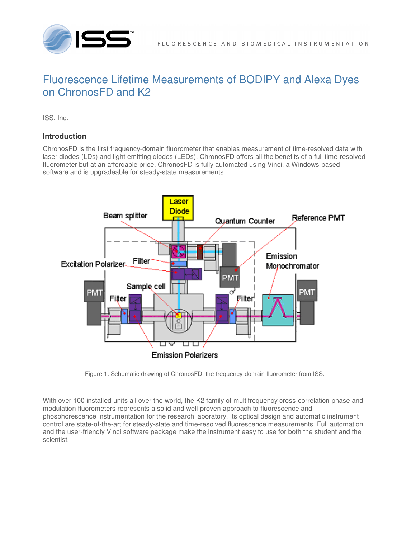

## Fluorescence Lifetime Measurements of BODIPY and Alexa Dyes on ChronosFD and K2

ISS, Inc.

## **Introduction**

ChronosFD is the first frequency-domain fluorometer that enables measurement of time-resolved data with laser diodes (LDs) and light emitting diodes (LEDs). ChronosFD offers all the benefits of a full time-resolved fluorometer but at an affordable price. ChronosFD is fully automated using Vinci, a Windows-based software and is upgradeable for steady-state measurements.



Figure 1. Schematic drawing of ChronosFD, the frequency-domain fluorometer from ISS.

With over 100 installed units all over the world, the K2 family of multifrequency cross-correlation phase and modulation fluorometers represents a solid and well-proven approach to fluorescence and phosphorescence instrumentation for the research laboratory. Its optical design and automatic instrument control are state-of-the-art for steady-state and time-resolved fluorescence measurements. Full automation and the user-friendly Vinci software package make the instrument easy to use for both the student and the scientist.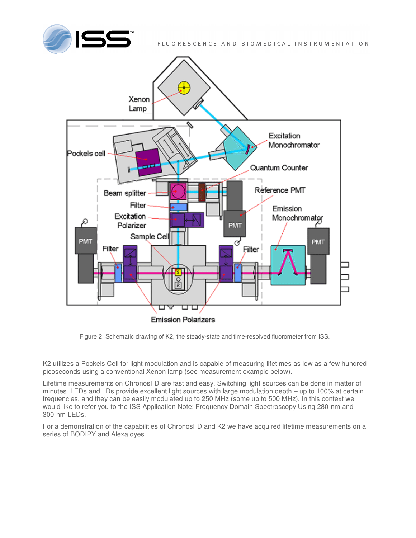



Figure 2. Schematic drawing of K2, the steady-state and time-resolved fluorometer from ISS.

K2 utilizes a Pockels Cell for light modulation and is capable of measuring lifetimes as low as a few hundred picoseconds using a conventional Xenon lamp (see measurement example below).

Lifetime measurements on ChronosFD are fast and easy. Switching light sources can be done in matter of minutes. LEDs and LDs provide excellent light sources with large modulation depth – up to 100% at certain frequencies, and they can be easily modulated up to 250 MHz (some up to 500 MHz). In this context we would like to refer you to the ISS Application Note: Frequency Domain Spectroscopy Using 280-nm and 300-nm LEDs.

For a demonstration of the capabilities of ChronosFD and K2 we have acquired lifetime measurements on a series of BODIPY and Alexa dyes.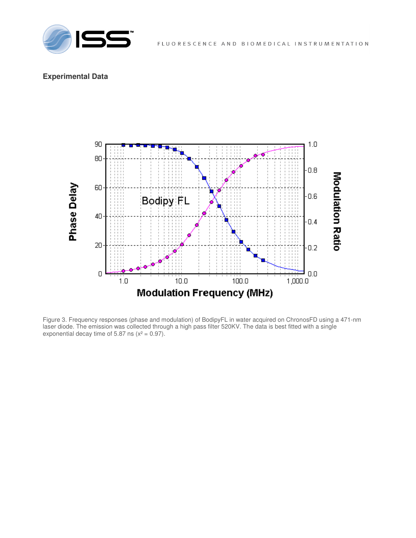

## **Experimental Data**



Figure 3. Frequency responses (phase and modulation) of BodipyFL in water acquired on ChronosFD using a 471-nm laser diode. The emission was collected through a high pass filter 520KV. The data is best fitted with a single exponential decay time of 5.87 ns ( $x^2 = 0.97$ ).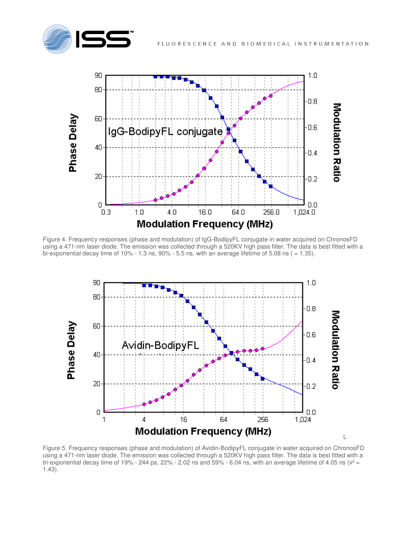



Figure 4. Frequency responses (phase and modulation) of IgG-BodipyFL conjugate in water acquired on ChronosFD using a 471-nm laser diode. The emission was collected through a 520KV high pass filter. The data is best fitted with a bi-exponential decay time of 10% - 1.3 ns, 90% - 5.5 ns, with an average lifetime of 5.08 ns ( $= 1.35$ ).



Figure 5. Frequency responses (phase and modulation) of Avidin-BodipyFL conjugate in water acquired on ChronosFD using a 471-nm laser diode. The emission was collected through a 520KV high pass filter. The data is best fitted with a tri-exponential decay time of 19% - 244 ps, 22% - 2.02 ns and 59% - 6.04 ns, with an average lifetime of 4.05 ns ( $x^2 =$ 1.43).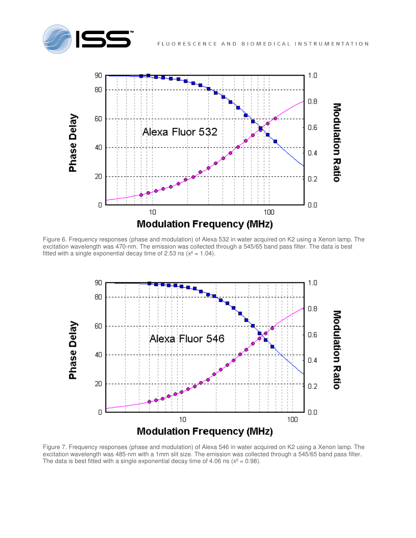



Figure 6. Frequency responses (phase and modulation) of Alexa 532 in water acquired on K2 using a Xenon lamp. The excitation wavelength was 470-nm. The emission was collected through a 545/65 band pass filter. The data is best fitted with a single exponential decay time of 2.53 ns ( $x^2 = 1.04$ ).



Figure 7. Frequency responses (phase and modulation) of Alexa 546 in water acquired on K2 using a Xenon lamp. The excitation wavelength was 485-nm with a 1mm slit size. The emission was collected through a 545/65 band pass filter. The data is best fitted with a single exponential decay time of 4.06 ns ( $x^2 = 0.98$ ).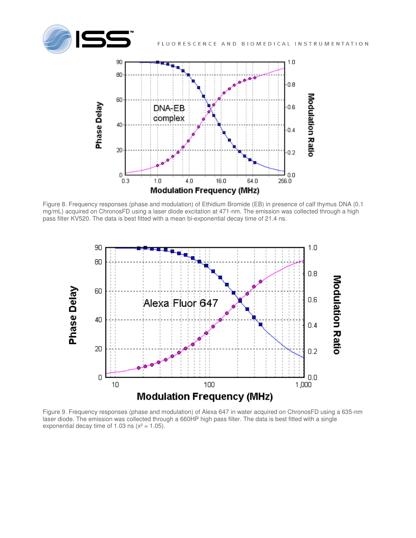



Figure 8. Frequency responses (phase and modulation) of Ethidium Bromide (EB) in presence of calf thymus DNA (0.1 mg/mL) acquired on ChronosFD using a laser diode excitation at 471-nm. The emission was collected through a high pass filter KV520. The data is best fitted with a mean bi-exponential decay time of 21.4 ns.



Figure 9. Frequency responses (phase and modulation) of Alexa 647 in water acquired on ChronosFD using a 635-nm laser diode. The emission was collected through a 660HP high pass filter. The data is best fitted with a single exponential decay time of 1.03 ns ( $x^2 = 1.05$ ).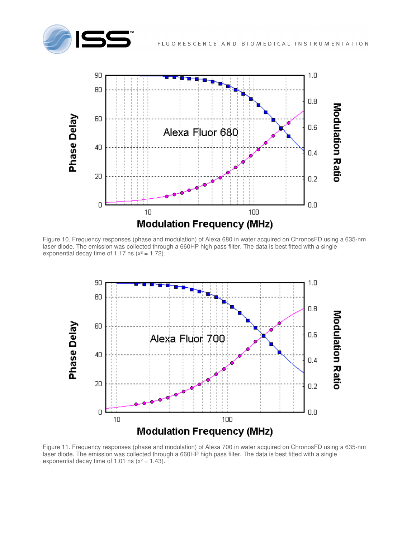



Figure 10. Frequency responses (phase and modulation) of Alexa 680 in water acquired on ChronosFD using a 635-nm laser diode. The emission was collected through a 660HP high pass filter. The data is best fitted with a single exponential decay time of 1.17 ns  $(x^2 = 1.72)$ .



Figure 11. Frequency responses (phase and modulation) of Alexa 700 in water acquired on ChronosFD using a 635-nm laser diode. The emission was collected through a 660HP high pass filter. The data is best fitted with a single exponential decay time of 1.01 ns  $(x^2 = 1.43)$ .